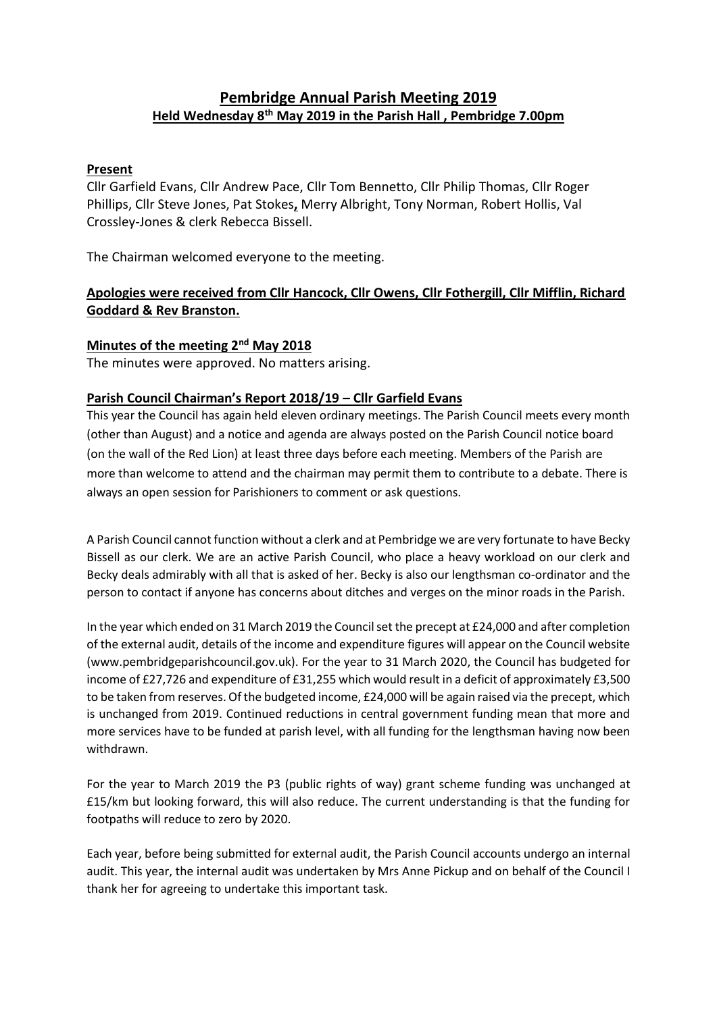# **Pembridge Annual Parish Meeting 2019 Held Wednesday 8th May 2019 in the Parish Hall , Pembridge 7.00pm**

### **Present**

Cllr Garfield Evans, Cllr Andrew Pace, Cllr Tom Bennetto, Cllr Philip Thomas, Cllr Roger Phillips, Cllr Steve Jones, Pat Stokes**,** Merry Albright, Tony Norman, Robert Hollis, Val Crossley-Jones & clerk Rebecca Bissell.

The Chairman welcomed everyone to the meeting.

# **Apologies were received from Cllr Hancock, Cllr Owens, Cllr Fothergill, Cllr Mifflin, Richard Goddard & Rev Branston.**

### **Minutes of the meeting 2nd May 2018**

The minutes were approved. No matters arising.

### **Parish Council Chairman's Report 2018/19 – Cllr Garfield Evans**

This year the Council has again held eleven ordinary meetings. The Parish Council meets every month (other than August) and a notice and agenda are always posted on the Parish Council notice board (on the wall of the Red Lion) at least three days before each meeting. Members of the Parish are more than welcome to attend and the chairman may permit them to contribute to a debate. There is always an open session for Parishioners to comment or ask questions.

A Parish Council cannot function without a clerk and at Pembridge we are very fortunate to have Becky Bissell as our clerk. We are an active Parish Council, who place a heavy workload on our clerk and Becky deals admirably with all that is asked of her. Becky is also our lengthsman co-ordinator and the person to contact if anyone has concerns about ditches and verges on the minor roads in the Parish.

In the year which ended on 31 March 2019 the Council set the precept at £24,000 and after completion of the external audit, details of the income and expenditure figures will appear on the Council website (www.pembridgeparishcouncil.gov.uk). For the year to 31 March 2020, the Council has budgeted for income of £27,726 and expenditure of £31,255 which would result in a deficit of approximately £3,500 to be taken from reserves. Of the budgeted income, £24,000 will be again raised via the precept, which is unchanged from 2019. Continued reductions in central government funding mean that more and more services have to be funded at parish level, with all funding for the lengthsman having now been withdrawn.

For the year to March 2019 the P3 (public rights of way) grant scheme funding was unchanged at £15/km but looking forward, this will also reduce. The current understanding is that the funding for footpaths will reduce to zero by 2020.

Each year, before being submitted for external audit, the Parish Council accounts undergo an internal audit. This year, the internal audit was undertaken by Mrs Anne Pickup and on behalf of the Council I thank her for agreeing to undertake this important task.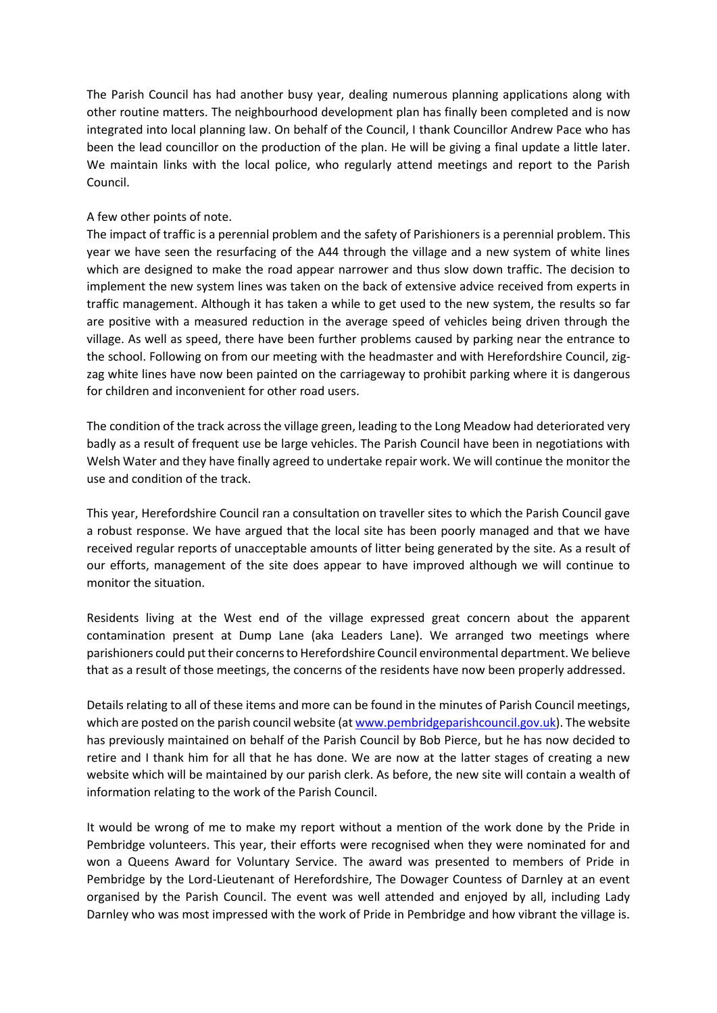The Parish Council has had another busy year, dealing numerous planning applications along with other routine matters. The neighbourhood development plan has finally been completed and is now integrated into local planning law. On behalf of the Council, I thank Councillor Andrew Pace who has been the lead councillor on the production of the plan. He will be giving a final update a little later. We maintain links with the local police, who regularly attend meetings and report to the Parish Council.

#### A few other points of note.

The impact of traffic is a perennial problem and the safety of Parishioners is a perennial problem. This year we have seen the resurfacing of the A44 through the village and a new system of white lines which are designed to make the road appear narrower and thus slow down traffic. The decision to implement the new system lines was taken on the back of extensive advice received from experts in traffic management. Although it has taken a while to get used to the new system, the results so far are positive with a measured reduction in the average speed of vehicles being driven through the village. As well as speed, there have been further problems caused by parking near the entrance to the school. Following on from our meeting with the headmaster and with Herefordshire Council, zigzag white lines have now been painted on the carriageway to prohibit parking where it is dangerous for children and inconvenient for other road users.

The condition of the track across the village green, leading to the Long Meadow had deteriorated very badly as a result of frequent use be large vehicles. The Parish Council have been in negotiations with Welsh Water and they have finally agreed to undertake repair work. We will continue the monitor the use and condition of the track.

This year, Herefordshire Council ran a consultation on traveller sites to which the Parish Council gave a robust response. We have argued that the local site has been poorly managed and that we have received regular reports of unacceptable amounts of litter being generated by the site. As a result of our efforts, management of the site does appear to have improved although we will continue to monitor the situation.

Residents living at the West end of the village expressed great concern about the apparent contamination present at Dump Lane (aka Leaders Lane). We arranged two meetings where parishioners could put their concerns to Herefordshire Council environmental department. We believe that as a result of those meetings, the concerns of the residents have now been properly addressed.

Details relating to all of these items and more can be found in the minutes of Parish Council meetings, which are posted on the parish council website (a[t www.pembridgeparishcouncil.gov.uk\)](http://www.pembridgeparishcouncil.gov.uk/). The website has previously maintained on behalf of the Parish Council by Bob Pierce, but he has now decided to retire and I thank him for all that he has done. We are now at the latter stages of creating a new website which will be maintained by our parish clerk. As before, the new site will contain a wealth of information relating to the work of the Parish Council.

It would be wrong of me to make my report without a mention of the work done by the Pride in Pembridge volunteers. This year, their efforts were recognised when they were nominated for and won a Queens Award for Voluntary Service. The award was presented to members of Pride in Pembridge by the Lord-Lieutenant of Herefordshire, The Dowager Countess of Darnley at an event organised by the Parish Council. The event was well attended and enjoyed by all, including Lady Darnley who was most impressed with the work of Pride in Pembridge and how vibrant the village is.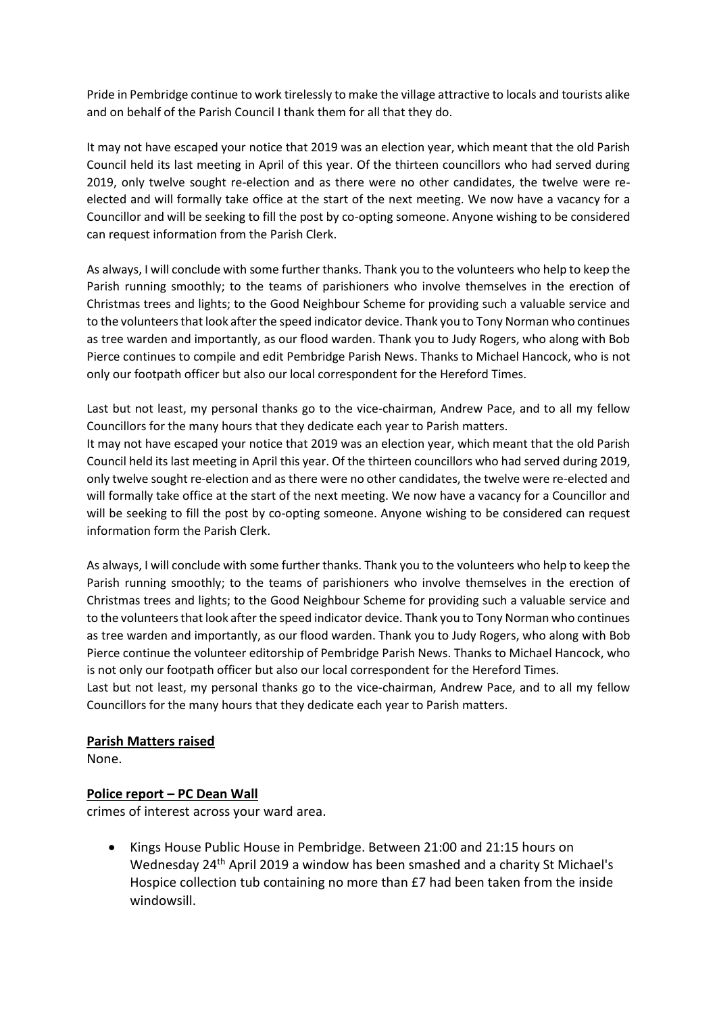Pride in Pembridge continue to work tirelessly to make the village attractive to locals and tourists alike and on behalf of the Parish Council I thank them for all that they do.

It may not have escaped your notice that 2019 was an election year, which meant that the old Parish Council held its last meeting in April of this year. Of the thirteen councillors who had served during 2019, only twelve sought re-election and as there were no other candidates, the twelve were reelected and will formally take office at the start of the next meeting. We now have a vacancy for a Councillor and will be seeking to fill the post by co-opting someone. Anyone wishing to be considered can request information from the Parish Clerk.

As always, I will conclude with some further thanks. Thank you to the volunteers who help to keep the Parish running smoothly; to the teams of parishioners who involve themselves in the erection of Christmas trees and lights; to the Good Neighbour Scheme for providing such a valuable service and to the volunteers that look after the speed indicator device. Thank you to Tony Norman who continues as tree warden and importantly, as our flood warden. Thank you to Judy Rogers, who along with Bob Pierce continues to compile and edit Pembridge Parish News. Thanks to Michael Hancock, who is not only our footpath officer but also our local correspondent for the Hereford Times.

Last but not least, my personal thanks go to the vice-chairman, Andrew Pace, and to all my fellow Councillors for the many hours that they dedicate each year to Parish matters.

It may not have escaped your notice that 2019 was an election year, which meant that the old Parish Council held its last meeting in April this year. Of the thirteen councillors who had served during 2019, only twelve sought re-election and as there were no other candidates, the twelve were re-elected and will formally take office at the start of the next meeting. We now have a vacancy for a Councillor and will be seeking to fill the post by co-opting someone. Anyone wishing to be considered can request information form the Parish Clerk.

As always, I will conclude with some further thanks. Thank you to the volunteers who help to keep the Parish running smoothly; to the teams of parishioners who involve themselves in the erection of Christmas trees and lights; to the Good Neighbour Scheme for providing such a valuable service and to the volunteers that look after the speed indicator device. Thank you to Tony Norman who continues as tree warden and importantly, as our flood warden. Thank you to Judy Rogers, who along with Bob Pierce continue the volunteer editorship of Pembridge Parish News. Thanks to Michael Hancock, who is not only our footpath officer but also our local correspondent for the Hereford Times.

Last but not least, my personal thanks go to the vice-chairman, Andrew Pace, and to all my fellow Councillors for the many hours that they dedicate each year to Parish matters.

### **Parish Matters raised**

None.

### **Police report – PC Dean Wall**

crimes of interest across your ward area.

• Kings House Public House in Pembridge. Between 21:00 and 21:15 hours on Wednesday 24th April 2019 a window has been smashed and a charity St Michael's Hospice collection tub containing no more than £7 had been taken from the inside windowsill.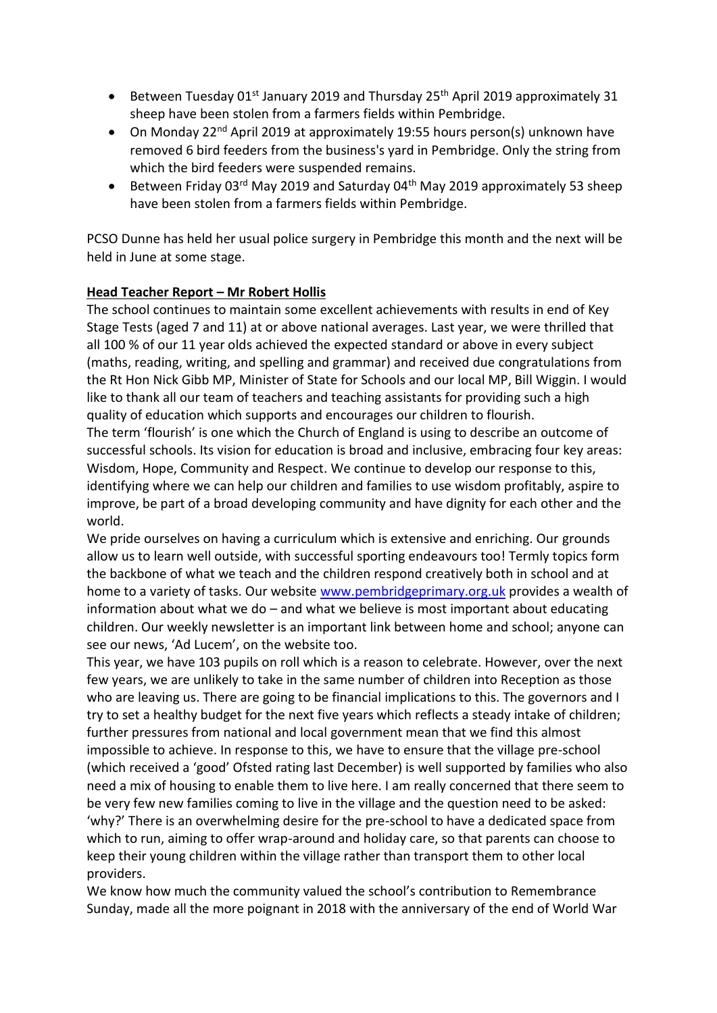- Between Tuesday 01<sup>st</sup> January 2019 and Thursday 25<sup>th</sup> April 2019 approximately 31 sheep have been stolen from a farmers fields within Pembridge.
- On Monday 22<sup>nd</sup> April 2019 at approximately 19:55 hours person(s) unknown have removed 6 bird feeders from the business's yard in Pembridge. Only the string from which the bird feeders were suspended remains.
- Between Friday 03 $^{rd}$  May 2019 and Saturday 04 $^{th}$  May 2019 approximately 53 sheep have been stolen from a farmers fields within Pembridge.

PCSO Dunne has held her usual police surgery in Pembridge this month and the next will be held in June at some stage.

## **Head Teacher Report – Mr Robert Hollis**

The school continues to maintain some excellent achievements with results in end of Key Stage Tests (aged 7 and 11) at or above national averages. Last year, we were thrilled that all 100 % of our 11 year olds achieved the expected standard or above in every subject (maths, reading, writing, and spelling and grammar) and received due congratulations from the Rt Hon Nick Gibb MP, Minister of State for Schools and our local MP, Bill Wiggin. I would like to thank all our team of teachers and teaching assistants for providing such a high quality of education which supports and encourages our children to flourish.

The term 'flourish' is one which the Church of England is using to describe an outcome of successful schools. Its vision for education is broad and inclusive, embracing four key areas: Wisdom, Hope, Community and Respect. We continue to develop our response to this, identifying where we can help our children and families to use wisdom profitably, aspire to improve, be part of a broad developing community and have dignity for each other and the world.

We pride ourselves on having a curriculum which is extensive and enriching. Our grounds allow us to learn well outside, with successful sporting endeavours too! Termly topics form the backbone of what we teach and the children respond creatively both in school and at home to a variety of tasks. Our website [www.pembridgeprimary.org.uk](http://www.pembridgeprimary.org.uk/) provides a wealth of information about what we do – and what we believe is most important about educating children. Our weekly newsletter is an important link between home and school; anyone can see our news, 'Ad Lucem', on the website too.

This year, we have 103 pupils on roll which is a reason to celebrate. However, over the next few years, we are unlikely to take in the same number of children into Reception as those who are leaving us. There are going to be financial implications to this. The governors and I try to set a healthy budget for the next five years which reflects a steady intake of children; further pressures from national and local government mean that we find this almost impossible to achieve. In response to this, we have to ensure that the village pre-school (which received a 'good' Ofsted rating last December) is well supported by families who also need a mix of housing to enable them to live here. I am really concerned that there seem to be very few new families coming to live in the village and the question need to be asked: 'why?' There is an overwhelming desire for the pre-school to have a dedicated space from which to run, aiming to offer wrap-around and holiday care, so that parents can choose to keep their young children within the village rather than transport them to other local providers.

We know how much the community valued the school's contribution to Remembrance Sunday, made all the more poignant in 2018 with the anniversary of the end of World War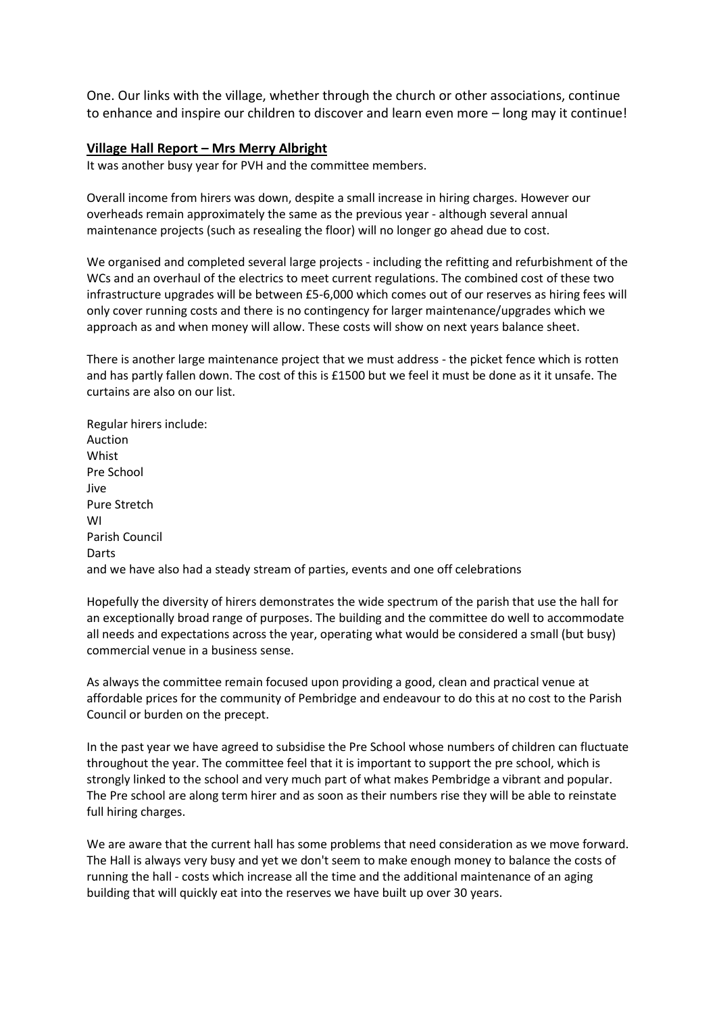One. Our links with the village, whether through the church or other associations, continue to enhance and inspire our children to discover and learn even more – long may it continue!

#### **Village Hall Report – Mrs Merry Albright**

It was another busy year for PVH and the committee members.

Overall income from hirers was down, despite a small increase in hiring charges. However our overheads remain approximately the same as the previous year - although several annual maintenance projects (such as resealing the floor) will no longer go ahead due to cost.

We organised and completed several large projects - including the refitting and refurbishment of the WCs and an overhaul of the electrics to meet current regulations. The combined cost of these two infrastructure upgrades will be between £5-6,000 which comes out of our reserves as hiring fees will only cover running costs and there is no contingency for larger maintenance/upgrades which we approach as and when money will allow. These costs will show on next years balance sheet.

There is another large maintenance project that we must address - the picket fence which is rotten and has partly fallen down. The cost of this is £1500 but we feel it must be done as it it unsafe. The curtains are also on our list.

Regular hirers include: Auction **Whist** Pre School Jive Pure Stretch WI Parish Council Darts and we have also had a steady stream of parties, events and one off celebrations

Hopefully the diversity of hirers demonstrates the wide spectrum of the parish that use the hall for an exceptionally broad range of purposes. The building and the committee do well to accommodate all needs and expectations across the year, operating what would be considered a small (but busy) commercial venue in a business sense.

As always the committee remain focused upon providing a good, clean and practical venue at affordable prices for the community of Pembridge and endeavour to do this at no cost to the Parish Council or burden on the precept.

In the past year we have agreed to subsidise the Pre School whose numbers of children can fluctuate throughout the year. The committee feel that it is important to support the pre school, which is strongly linked to the school and very much part of what makes Pembridge a vibrant and popular. The Pre school are along term hirer and as soon as their numbers rise they will be able to reinstate full hiring charges.

We are aware that the current hall has some problems that need consideration as we move forward. The Hall is always very busy and yet we don't seem to make enough money to balance the costs of running the hall - costs which increase all the time and the additional maintenance of an aging building that will quickly eat into the reserves we have built up over 30 years.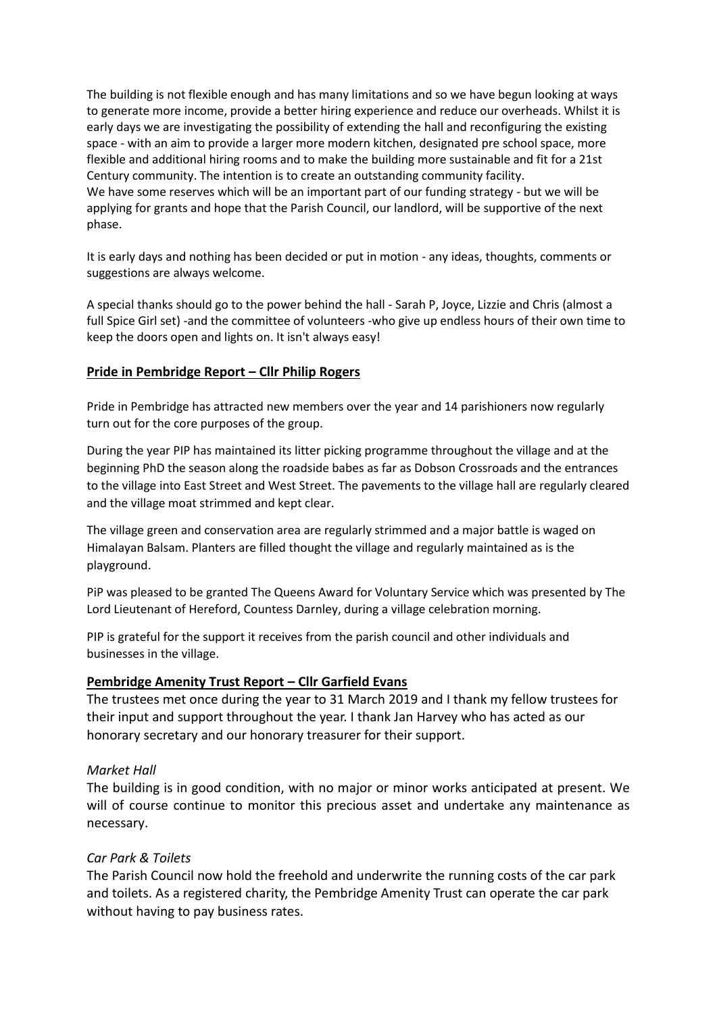The building is not flexible enough and has many limitations and so we have begun looking at ways to generate more income, provide a better hiring experience and reduce our overheads. Whilst it is early days we are investigating the possibility of extending the hall and reconfiguring the existing space - with an aim to provide a larger more modern kitchen, designated pre school space, more flexible and additional hiring rooms and to make the building more sustainable and fit for a 21st Century community. The intention is to create an outstanding community facility. We have some reserves which will be an important part of our funding strategy - but we will be applying for grants and hope that the Parish Council, our landlord, will be supportive of the next phase.

It is early days and nothing has been decided or put in motion - any ideas, thoughts, comments or suggestions are always welcome.

A special thanks should go to the power behind the hall - Sarah P, Joyce, Lizzie and Chris (almost a full Spice Girl set) -and the committee of volunteers -who give up endless hours of their own time to keep the doors open and lights on. It isn't always easy!

#### **Pride in Pembridge Report – Cllr Philip Rogers**

Pride in Pembridge has attracted new members over the year and 14 parishioners now regularly turn out for the core purposes of the group.

During the year PIP has maintained its litter picking programme throughout the village and at the beginning PhD the season along the roadside babes as far as Dobson Crossroads and the entrances to the village into East Street and West Street. The pavements to the village hall are regularly cleared and the village moat strimmed and kept clear.

The village green and conservation area are regularly strimmed and a major battle is waged on Himalayan Balsam. Planters are filled thought the village and regularly maintained as is the playground.

PiP was pleased to be granted The Queens Award for Voluntary Service which was presented by The Lord Lieutenant of Hereford, Countess Darnley, during a village celebration morning.

PIP is grateful for the support it receives from the parish council and other individuals and businesses in the village.

#### **Pembridge Amenity Trust Report – Cllr Garfield Evans**

The trustees met once during the year to 31 March 2019 and I thank my fellow trustees for their input and support throughout the year. I thank Jan Harvey who has acted as our honorary secretary and our honorary treasurer for their support.

#### *Market Hall*

The building is in good condition, with no major or minor works anticipated at present. We will of course continue to monitor this precious asset and undertake any maintenance as necessary.

### *Car Park & Toilets*

The Parish Council now hold the freehold and underwrite the running costs of the car park and toilets. As a registered charity, the Pembridge Amenity Trust can operate the car park without having to pay business rates.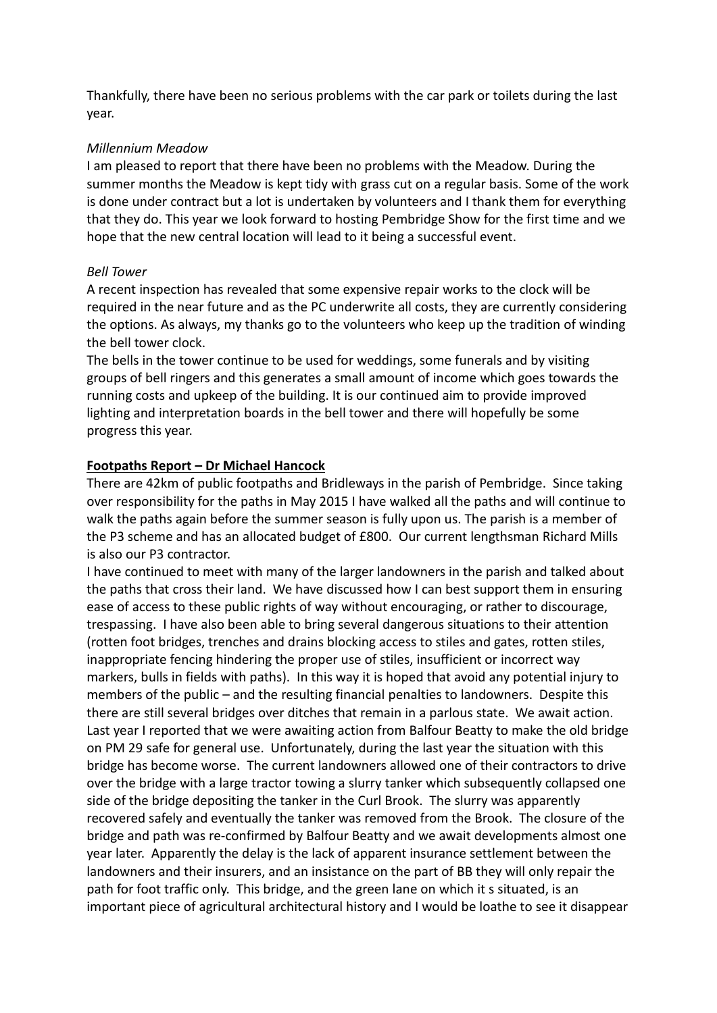Thankfully, there have been no serious problems with the car park or toilets during the last year.

### *Millennium Meadow*

I am pleased to report that there have been no problems with the Meadow. During the summer months the Meadow is kept tidy with grass cut on a regular basis. Some of the work is done under contract but a lot is undertaken by volunteers and I thank them for everything that they do. This year we look forward to hosting Pembridge Show for the first time and we hope that the new central location will lead to it being a successful event.

### *Bell Tower*

A recent inspection has revealed that some expensive repair works to the clock will be required in the near future and as the PC underwrite all costs, they are currently considering the options. As always, my thanks go to the volunteers who keep up the tradition of winding the bell tower clock.

The bells in the tower continue to be used for weddings, some funerals and by visiting groups of bell ringers and this generates a small amount of income which goes towards the running costs and upkeep of the building. It is our continued aim to provide improved lighting and interpretation boards in the bell tower and there will hopefully be some progress this year.

## **Footpaths Report – Dr Michael Hancock**

There are 42km of public footpaths and Bridleways in the parish of Pembridge. Since taking over responsibility for the paths in May 2015 I have walked all the paths and will continue to walk the paths again before the summer season is fully upon us. The parish is a member of the P3 scheme and has an allocated budget of £800. Our current lengthsman Richard Mills is also our P3 contractor.

I have continued to meet with many of the larger landowners in the parish and talked about the paths that cross their land. We have discussed how I can best support them in ensuring ease of access to these public rights of way without encouraging, or rather to discourage, trespassing. I have also been able to bring several dangerous situations to their attention (rotten foot bridges, trenches and drains blocking access to stiles and gates, rotten stiles, inappropriate fencing hindering the proper use of stiles, insufficient or incorrect way markers, bulls in fields with paths). In this way it is hoped that avoid any potential injury to members of the public – and the resulting financial penalties to landowners. Despite this there are still several bridges over ditches that remain in a parlous state. We await action. Last year I reported that we were awaiting action from Balfour Beatty to make the old bridge on PM 29 safe for general use. Unfortunately, during the last year the situation with this bridge has become worse. The current landowners allowed one of their contractors to drive over the bridge with a large tractor towing a slurry tanker which subsequently collapsed one side of the bridge depositing the tanker in the Curl Brook. The slurry was apparently recovered safely and eventually the tanker was removed from the Brook. The closure of the bridge and path was re-confirmed by Balfour Beatty and we await developments almost one year later. Apparently the delay is the lack of apparent insurance settlement between the landowners and their insurers, and an insistance on the part of BB they will only repair the path for foot traffic only. This bridge, and the green lane on which it s situated, is an important piece of agricultural architectural history and I would be loathe to see it disappear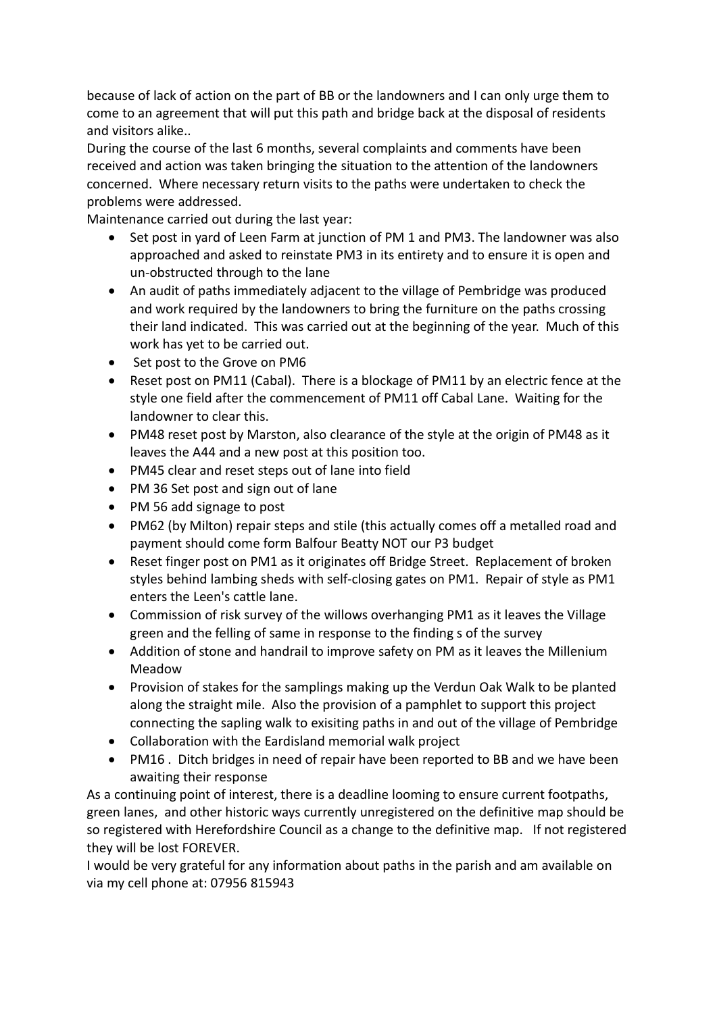because of lack of action on the part of BB or the landowners and I can only urge them to come to an agreement that will put this path and bridge back at the disposal of residents and visitors alike..

During the course of the last 6 months, several complaints and comments have been received and action was taken bringing the situation to the attention of the landowners concerned. Where necessary return visits to the paths were undertaken to check the problems were addressed.

Maintenance carried out during the last year:

- Set post in yard of Leen Farm at junction of PM 1 and PM3. The landowner was also approached and asked to reinstate PM3 in its entirety and to ensure it is open and un-obstructed through to the lane
- An audit of paths immediately adjacent to the village of Pembridge was produced and work required by the landowners to bring the furniture on the paths crossing their land indicated. This was carried out at the beginning of the year. Much of this work has yet to be carried out.
- Set post to the Grove on PM6
- Reset post on PM11 (Cabal). There is a blockage of PM11 by an electric fence at the style one field after the commencement of PM11 off Cabal Lane. Waiting for the landowner to clear this.
- PM48 reset post by Marston, also clearance of the style at the origin of PM48 as it leaves the A44 and a new post at this position too.
- PM45 clear and reset steps out of lane into field
- PM 36 Set post and sign out of lane
- PM 56 add signage to post
- PM62 (by Milton) repair steps and stile (this actually comes off a metalled road and payment should come form Balfour Beatty NOT our P3 budget
- Reset finger post on PM1 as it originates off Bridge Street. Replacement of broken styles behind lambing sheds with self-closing gates on PM1. Repair of style as PM1 enters the Leen's cattle lane.
- Commission of risk survey of the willows overhanging PM1 as it leaves the Village green and the felling of same in response to the finding s of the survey
- Addition of stone and handrail to improve safety on PM as it leaves the Millenium Meadow
- Provision of stakes for the samplings making up the Verdun Oak Walk to be planted along the straight mile. Also the provision of a pamphlet to support this project connecting the sapling walk to exisiting paths in and out of the village of Pembridge
- Collaboration with the Eardisland memorial walk project
- PM16 . Ditch bridges in need of repair have been reported to BB and we have been awaiting their response

As a continuing point of interest, there is a deadline looming to ensure current footpaths, green lanes, and other historic ways currently unregistered on the definitive map should be so registered with Herefordshire Council as a change to the definitive map. If not registered they will be lost FOREVER.

I would be very grateful for any information about paths in the parish and am available on via my cell phone at: 07956 815943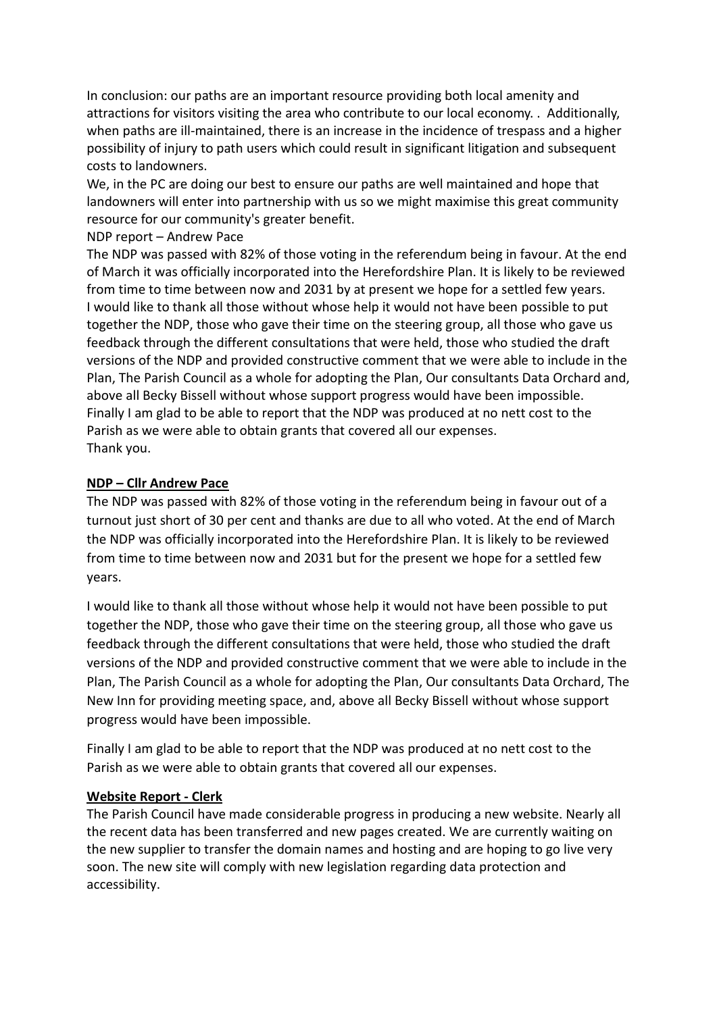In conclusion: our paths are an important resource providing both local amenity and attractions for visitors visiting the area who contribute to our local economy. . Additionally, when paths are ill-maintained, there is an increase in the incidence of trespass and a higher possibility of injury to path users which could result in significant litigation and subsequent costs to landowners.

We, in the PC are doing our best to ensure our paths are well maintained and hope that landowners will enter into partnership with us so we might maximise this great community resource for our community's greater benefit.

### NDP report – Andrew Pace

The NDP was passed with 82% of those voting in the referendum being in favour. At the end of March it was officially incorporated into the Herefordshire Plan. It is likely to be reviewed from time to time between now and 2031 by at present we hope for a settled few years. I would like to thank all those without whose help it would not have been possible to put together the NDP, those who gave their time on the steering group, all those who gave us feedback through the different consultations that were held, those who studied the draft versions of the NDP and provided constructive comment that we were able to include in the Plan, The Parish Council as a whole for adopting the Plan, Our consultants Data Orchard and, above all Becky Bissell without whose support progress would have been impossible. Finally I am glad to be able to report that the NDP was produced at no nett cost to the Parish as we were able to obtain grants that covered all our expenses. Thank you.

### **NDP – Cllr Andrew Pace**

The NDP was passed with 82% of those voting in the referendum being in favour out of a turnout just short of 30 per cent and thanks are due to all who voted. At the end of March the NDP was officially incorporated into the Herefordshire Plan. It is likely to be reviewed from time to time between now and 2031 but for the present we hope for a settled few years.

I would like to thank all those without whose help it would not have been possible to put together the NDP, those who gave their time on the steering group, all those who gave us feedback through the different consultations that were held, those who studied the draft versions of the NDP and provided constructive comment that we were able to include in the Plan, The Parish Council as a whole for adopting the Plan, Our consultants Data Orchard, The New Inn for providing meeting space, and, above all Becky Bissell without whose support progress would have been impossible.

Finally I am glad to be able to report that the NDP was produced at no nett cost to the Parish as we were able to obtain grants that covered all our expenses.

### **Website Report - Clerk**

The Parish Council have made considerable progress in producing a new website. Nearly all the recent data has been transferred and new pages created. We are currently waiting on the new supplier to transfer the domain names and hosting and are hoping to go live very soon. The new site will comply with new legislation regarding data protection and accessibility.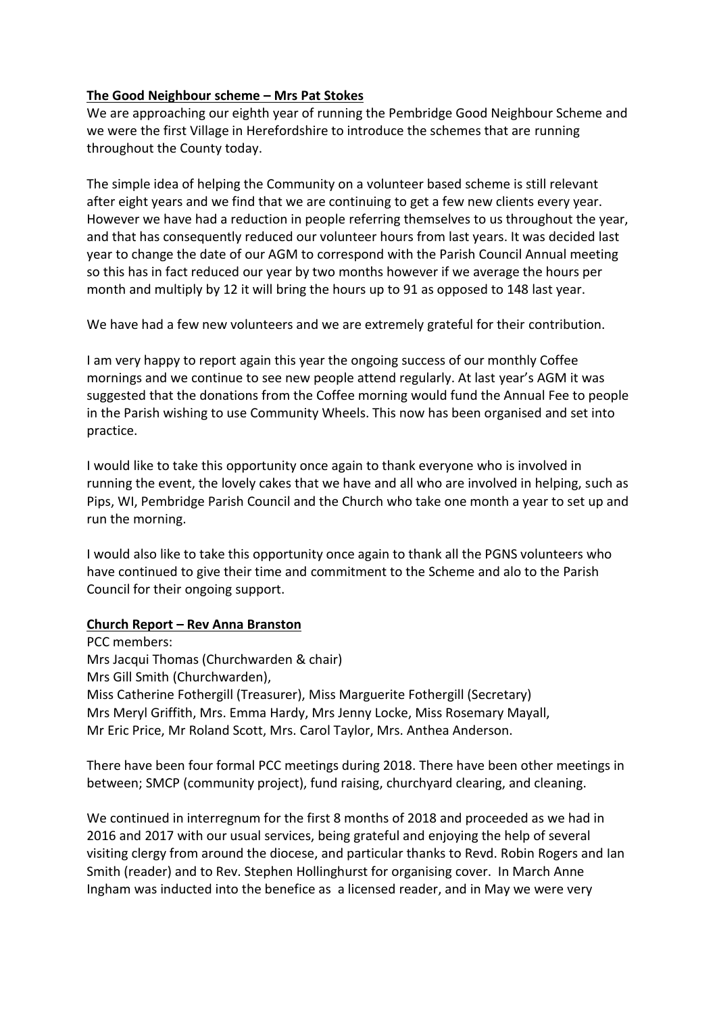## **The Good Neighbour scheme – Mrs Pat Stokes**

We are approaching our eighth year of running the Pembridge Good Neighbour Scheme and we were the first Village in Herefordshire to introduce the schemes that are running throughout the County today.

The simple idea of helping the Community on a volunteer based scheme is still relevant after eight years and we find that we are continuing to get a few new clients every year. However we have had a reduction in people referring themselves to us throughout the year, and that has consequently reduced our volunteer hours from last years. It was decided last year to change the date of our AGM to correspond with the Parish Council Annual meeting so this has in fact reduced our year by two months however if we average the hours per month and multiply by 12 it will bring the hours up to 91 as opposed to 148 last year.

We have had a few new volunteers and we are extremely grateful for their contribution.

I am very happy to report again this year the ongoing success of our monthly Coffee mornings and we continue to see new people attend regularly. At last year's AGM it was suggested that the donations from the Coffee morning would fund the Annual Fee to people in the Parish wishing to use Community Wheels. This now has been organised and set into practice.

I would like to take this opportunity once again to thank everyone who is involved in running the event, the lovely cakes that we have and all who are involved in helping, such as Pips, WI, Pembridge Parish Council and the Church who take one month a year to set up and run the morning.

I would also like to take this opportunity once again to thank all the PGNS volunteers who have continued to give their time and commitment to the Scheme and alo to the Parish Council for their ongoing support.

### **Church Report – Rev Anna Branston**

PCC members: Mrs Jacqui Thomas (Churchwarden & chair) Mrs Gill Smith (Churchwarden), Miss Catherine Fothergill (Treasurer), Miss Marguerite Fothergill (Secretary) Mrs Meryl Griffith, Mrs. Emma Hardy, Mrs Jenny Locke, Miss Rosemary Mayall, Mr Eric Price, Mr Roland Scott, Mrs. Carol Taylor, Mrs. Anthea Anderson.

There have been four formal PCC meetings during 2018. There have been other meetings in between; SMCP (community project), fund raising, churchyard clearing, and cleaning.

We continued in interregnum for the first 8 months of 2018 and proceeded as we had in 2016 and 2017 with our usual services, being grateful and enjoying the help of several visiting clergy from around the diocese, and particular thanks to Revd. Robin Rogers and Ian Smith (reader) and to Rev. Stephen Hollinghurst for organising cover. In March Anne Ingham was inducted into the benefice as a licensed reader, and in May we were very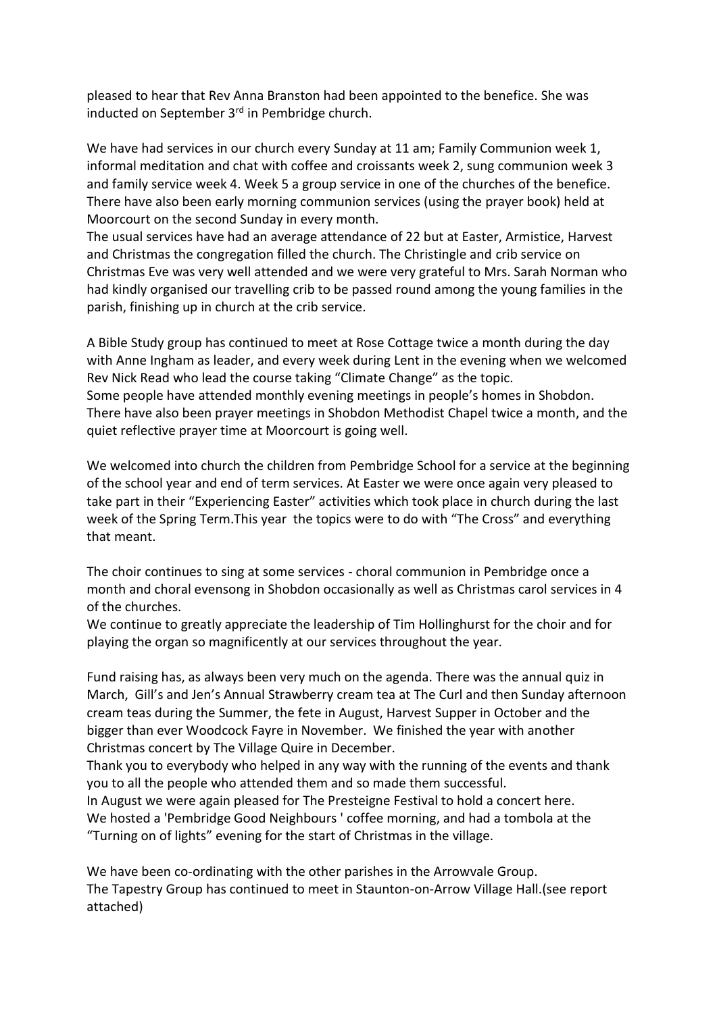pleased to hear that Rev Anna Branston had been appointed to the benefice. She was inducted on September 3<sup>rd</sup> in Pembridge church.

We have had services in our church every Sunday at 11 am; Family Communion week 1, informal meditation and chat with coffee and croissants week 2, sung communion week 3 and family service week 4. Week 5 a group service in one of the churches of the benefice. There have also been early morning communion services (using the prayer book) held at Moorcourt on the second Sunday in every month.

The usual services have had an average attendance of 22 but at Easter, Armistice, Harvest and Christmas the congregation filled the church. The Christingle and crib service on Christmas Eve was very well attended and we were very grateful to Mrs. Sarah Norman who had kindly organised our travelling crib to be passed round among the young families in the parish, finishing up in church at the crib service.

A Bible Study group has continued to meet at Rose Cottage twice a month during the day with Anne Ingham as leader, and every week during Lent in the evening when we welcomed Rev Nick Read who lead the course taking "Climate Change" as the topic. Some people have attended monthly evening meetings in people's homes in Shobdon. There have also been prayer meetings in Shobdon Methodist Chapel twice a month, and the quiet reflective prayer time at Moorcourt is going well.

We welcomed into church the children from Pembridge School for a service at the beginning of the school year and end of term services. At Easter we were once again very pleased to take part in their "Experiencing Easter" activities which took place in church during the last week of the Spring Term.This year the topics were to do with "The Cross" and everything that meant.

The choir continues to sing at some services - choral communion in Pembridge once a month and choral evensong in Shobdon occasionally as well as Christmas carol services in 4 of the churches.

We continue to greatly appreciate the leadership of Tim Hollinghurst for the choir and for playing the organ so magnificently at our services throughout the year.

Fund raising has, as always been very much on the agenda. There was the annual quiz in March, Gill's and Jen's Annual Strawberry cream tea at The Curl and then Sunday afternoon cream teas during the Summer, the fete in August, Harvest Supper in October and the bigger than ever Woodcock Fayre in November. We finished the year with another Christmas concert by The Village Quire in December.

Thank you to everybody who helped in any way with the running of the events and thank you to all the people who attended them and so made them successful.

In August we were again pleased for The Presteigne Festival to hold a concert here. We hosted a 'Pembridge Good Neighbours ' coffee morning, and had a tombola at the "Turning on of lights" evening for the start of Christmas in the village.

We have been co-ordinating with the other parishes in the Arrowvale Group. The Tapestry Group has continued to meet in Staunton-on-Arrow Village Hall.(see report attached)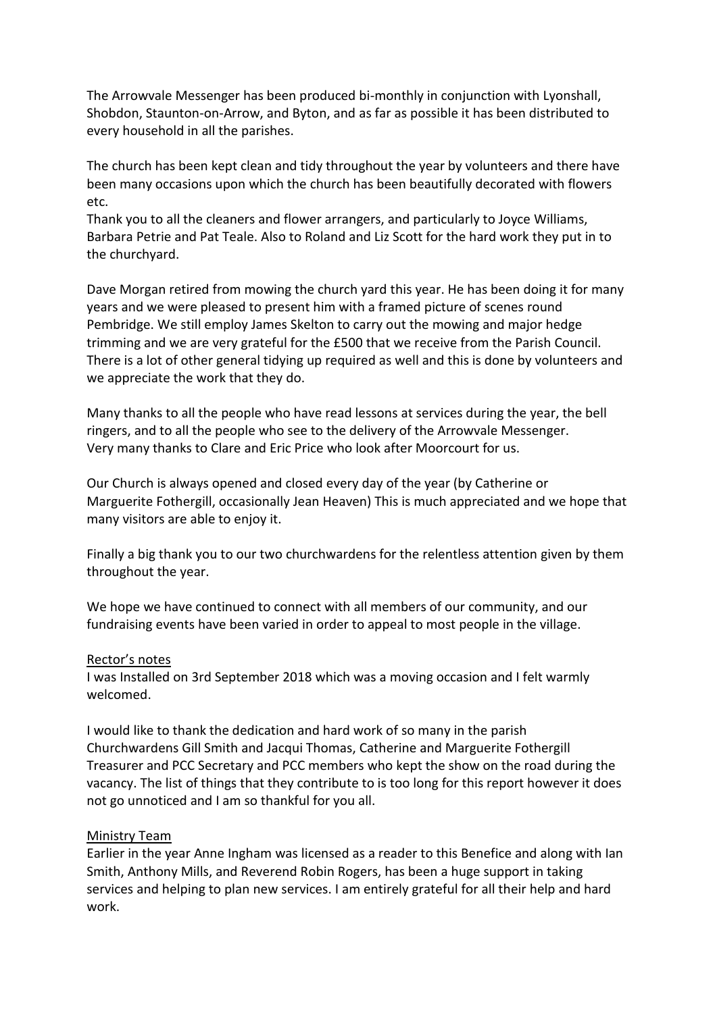The Arrowvale Messenger has been produced bi-monthly in conjunction with Lyonshall, Shobdon, Staunton-on-Arrow, and Byton, and as far as possible it has been distributed to every household in all the parishes.

The church has been kept clean and tidy throughout the year by volunteers and there have been many occasions upon which the church has been beautifully decorated with flowers etc.

Thank you to all the cleaners and flower arrangers, and particularly to Joyce Williams, Barbara Petrie and Pat Teale. Also to Roland and Liz Scott for the hard work they put in to the churchyard.

Dave Morgan retired from mowing the church yard this year. He has been doing it for many years and we were pleased to present him with a framed picture of scenes round Pembridge. We still employ James Skelton to carry out the mowing and major hedge trimming and we are very grateful for the £500 that we receive from the Parish Council. There is a lot of other general tidying up required as well and this is done by volunteers and we appreciate the work that they do.

Many thanks to all the people who have read lessons at services during the year, the bell ringers, and to all the people who see to the delivery of the Arrowvale Messenger. Very many thanks to Clare and Eric Price who look after Moorcourt for us.

Our Church is always opened and closed every day of the year (by Catherine or Marguerite Fothergill, occasionally Jean Heaven) This is much appreciated and we hope that many visitors are able to enjoy it.

Finally a big thank you to our two churchwardens for the relentless attention given by them throughout the year.

We hope we have continued to connect with all members of our community, and our fundraising events have been varied in order to appeal to most people in the village.

#### Rector's notes

I was Installed on 3rd September 2018 which was a moving occasion and I felt warmly welcomed.

I would like to thank the dedication and hard work of so many in the parish Churchwardens Gill Smith and Jacqui Thomas, Catherine and Marguerite Fothergill Treasurer and PCC Secretary and PCC members who kept the show on the road during the vacancy. The list of things that they contribute to is too long for this report however it does not go unnoticed and I am so thankful for you all.

#### Ministry Team

Earlier in the year Anne Ingham was licensed as a reader to this Benefice and along with Ian Smith, Anthony Mills, and Reverend Robin Rogers, has been a huge support in taking services and helping to plan new services. I am entirely grateful for all their help and hard work.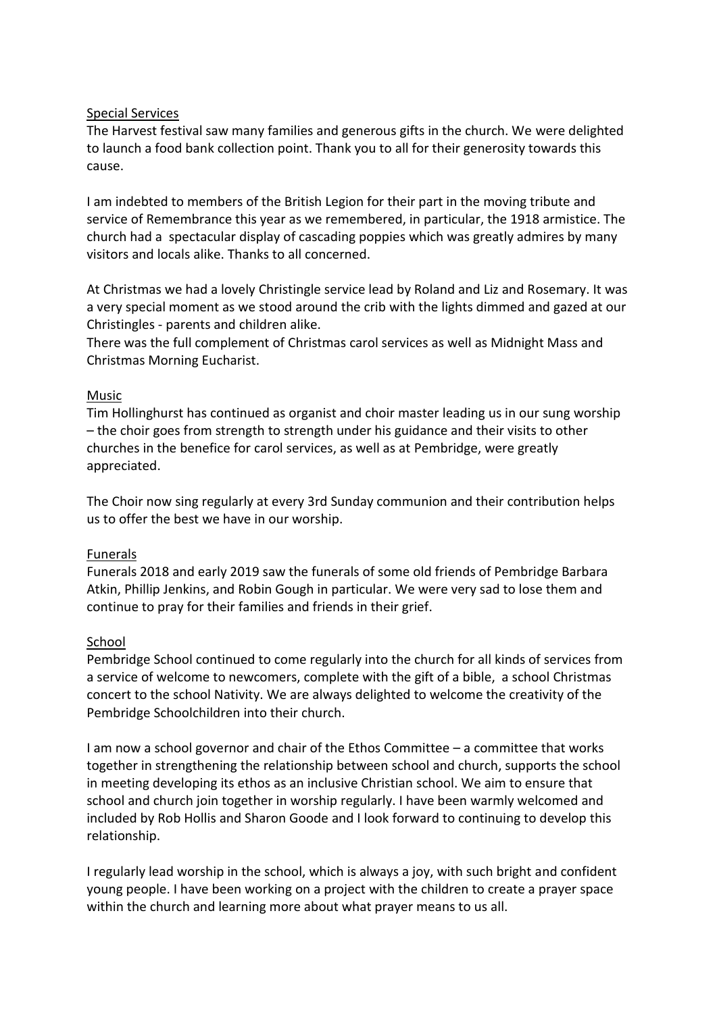### Special Services

The Harvest festival saw many families and generous gifts in the church. We were delighted to launch a food bank collection point. Thank you to all for their generosity towards this cause.

I am indebted to members of the British Legion for their part in the moving tribute and service of Remembrance this year as we remembered, in particular, the 1918 armistice. The church had a spectacular display of cascading poppies which was greatly admires by many visitors and locals alike. Thanks to all concerned.

At Christmas we had a lovely Christingle service lead by Roland and Liz and Rosemary. It was a very special moment as we stood around the crib with the lights dimmed and gazed at our Christingles - parents and children alike.

There was the full complement of Christmas carol services as well as Midnight Mass and Christmas Morning Eucharist.

## Music

Tim Hollinghurst has continued as organist and choir master leading us in our sung worship – the choir goes from strength to strength under his guidance and their visits to other churches in the benefice for carol services, as well as at Pembridge, were greatly appreciated.

The Choir now sing regularly at every 3rd Sunday communion and their contribution helps us to offer the best we have in our worship.

### Funerals

Funerals 2018 and early 2019 saw the funerals of some old friends of Pembridge Barbara Atkin, Phillip Jenkins, and Robin Gough in particular. We were very sad to lose them and continue to pray for their families and friends in their grief.

### School

Pembridge School continued to come regularly into the church for all kinds of services from a service of welcome to newcomers, complete with the gift of a bible, a school Christmas concert to the school Nativity. We are always delighted to welcome the creativity of the Pembridge Schoolchildren into their church.

I am now a school governor and chair of the Ethos Committee – a committee that works together in strengthening the relationship between school and church, supports the school in meeting developing its ethos as an inclusive Christian school. We aim to ensure that school and church join together in worship regularly. I have been warmly welcomed and included by Rob Hollis and Sharon Goode and I look forward to continuing to develop this relationship.

I regularly lead worship in the school, which is always a joy, with such bright and confident young people. I have been working on a project with the children to create a prayer space within the church and learning more about what prayer means to us all.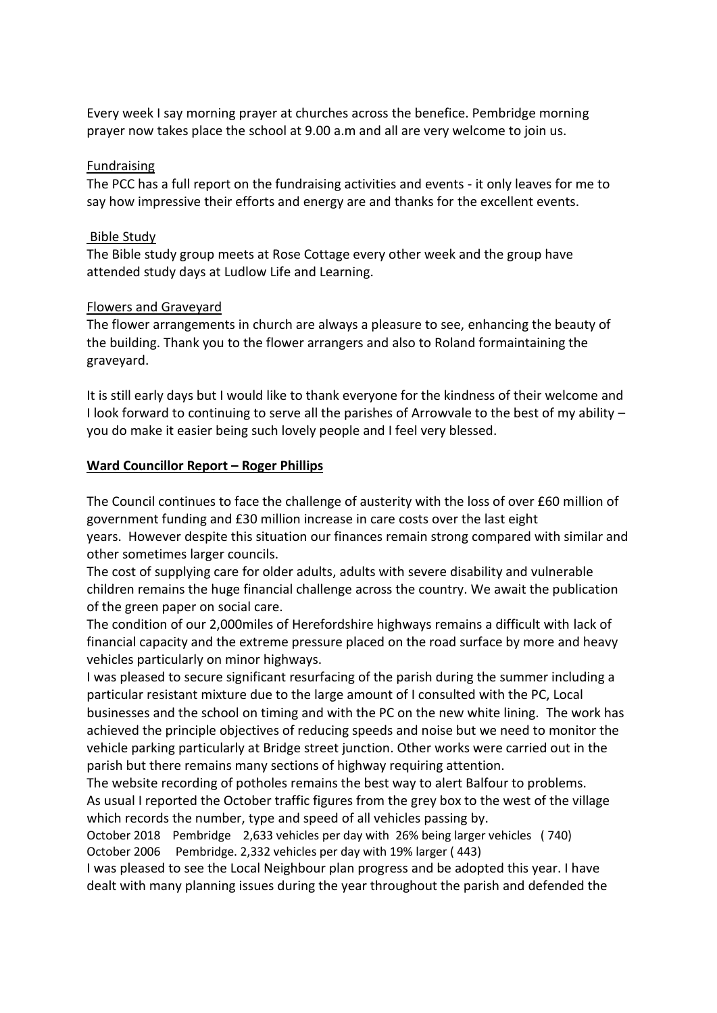Every week I say morning prayer at churches across the benefice. Pembridge morning prayer now takes place the school at 9.00 a.m and all are very welcome to join us.

#### Fundraising

The PCC has a full report on the fundraising activities and events - it only leaves for me to say how impressive their efforts and energy are and thanks for the excellent events.

#### Bible Study

The Bible study group meets at Rose Cottage every other week and the group have attended study days at Ludlow Life and Learning.

#### Flowers and Graveyard

The flower arrangements in church are always a pleasure to see, enhancing the beauty of the building. Thank you to the flower arrangers and also to Roland formaintaining the graveyard.

It is still early days but I would like to thank everyone for the kindness of their welcome and I look forward to continuing to serve all the parishes of Arrowvale to the best of my ability – you do make it easier being such lovely people and I feel very blessed.

#### **Ward Councillor Report – Roger Phillips**

The Council continues to face the challenge of austerity with the loss of over £60 million of government funding and £30 million increase in care costs over the last eight

years. However despite this situation our finances remain strong compared with similar and other sometimes larger councils.

The cost of supplying care for older adults, adults with severe disability and vulnerable children remains the huge financial challenge across the country. We await the publication of the green paper on social care.

The condition of our 2,000miles of Herefordshire highways remains a difficult with lack of financial capacity and the extreme pressure placed on the road surface by more and heavy vehicles particularly on minor highways.

I was pleased to secure significant resurfacing of the parish during the summer including a particular resistant mixture due to the large amount of I consulted with the PC, Local businesses and the school on timing and with the PC on the new white lining. The work has achieved the principle objectives of reducing speeds and noise but we need to monitor the vehicle parking particularly at Bridge street junction. Other works were carried out in the parish but there remains many sections of highway requiring attention.

The website recording of potholes remains the best way to alert Balfour to problems. As usual I reported the October traffic figures from the grey box to the west of the village which records the number, type and speed of all vehicles passing by.

October 2018 Pembridge 2,633 vehicles per day with 26% being larger vehicles ( 740) October 2006 Pembridge. 2,332 vehicles per day with 19% larger ( 443)

I was pleased to see the Local Neighbour plan progress and be adopted this year. I have dealt with many planning issues during the year throughout the parish and defended the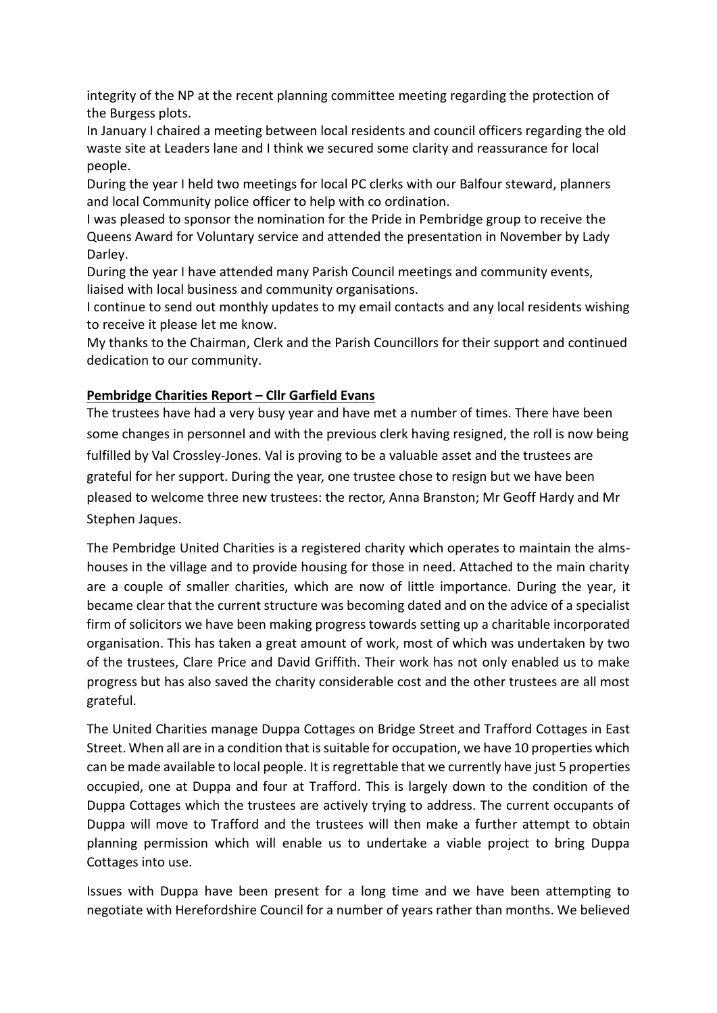integrity of the NP at the recent planning committee meeting regarding the protection of the Burgess plots.

In January I chaired a meeting between local residents and council officers regarding the old waste site at Leaders lane and I think we secured some clarity and reassurance for local people.

During the year I held two meetings for local PC clerks with our Balfour steward, planners and local Community police officer to help with co ordination.

I was pleased to sponsor the nomination for the Pride in Pembridge group to receive the Queens Award for Voluntary service and attended the presentation in November by Lady Darley.

During the year I have attended many Parish Council meetings and community events, liaised with local business and community organisations.

I continue to send out monthly updates to my email contacts and any local residents wishing to receive it please let me know.

My thanks to the Chairman, Clerk and the Parish Councillors for their support and continued dedication to our community.

## **Pembridge Charities Report – Cllr Garfield Evans**

The trustees have had a very busy year and have met a number of times. There have been some changes in personnel and with the previous clerk having resigned, the roll is now being fulfilled by Val Crossley-Jones. Val is proving to be a valuable asset and the trustees are grateful for her support. During the year, one trustee chose to resign but we have been pleased to welcome three new trustees: the rector, Anna Branston; Mr Geoff Hardy and Mr Stephen Jaques.

The Pembridge United Charities is a registered charity which operates to maintain the almshouses in the village and to provide housing for those in need. Attached to the main charity are a couple of smaller charities, which are now of little importance. During the year, it became clear that the current structure was becoming dated and on the advice of a specialist firm of solicitors we have been making progress towards setting up a charitable incorporated organisation. This has taken a great amount of work, most of which was undertaken by two of the trustees, Clare Price and David Griffith. Their work has not only enabled us to make progress but has also saved the charity considerable cost and the other trustees are all most grateful.

The United Charities manage Duppa Cottages on Bridge Street and Trafford Cottages in East Street. When all are in a condition that is suitable for occupation, we have 10 properties which can be made available to local people. It is regrettable that we currently have just 5 properties occupied, one at Duppa and four at Trafford. This is largely down to the condition of the Duppa Cottages which the trustees are actively trying to address. The current occupants of Duppa will move to Trafford and the trustees will then make a further attempt to obtain planning permission which will enable us to undertake a viable project to bring Duppa Cottages into use.

Issues with Duppa have been present for a long time and we have been attempting to negotiate with Herefordshire Council for a number of years rather than months. We believed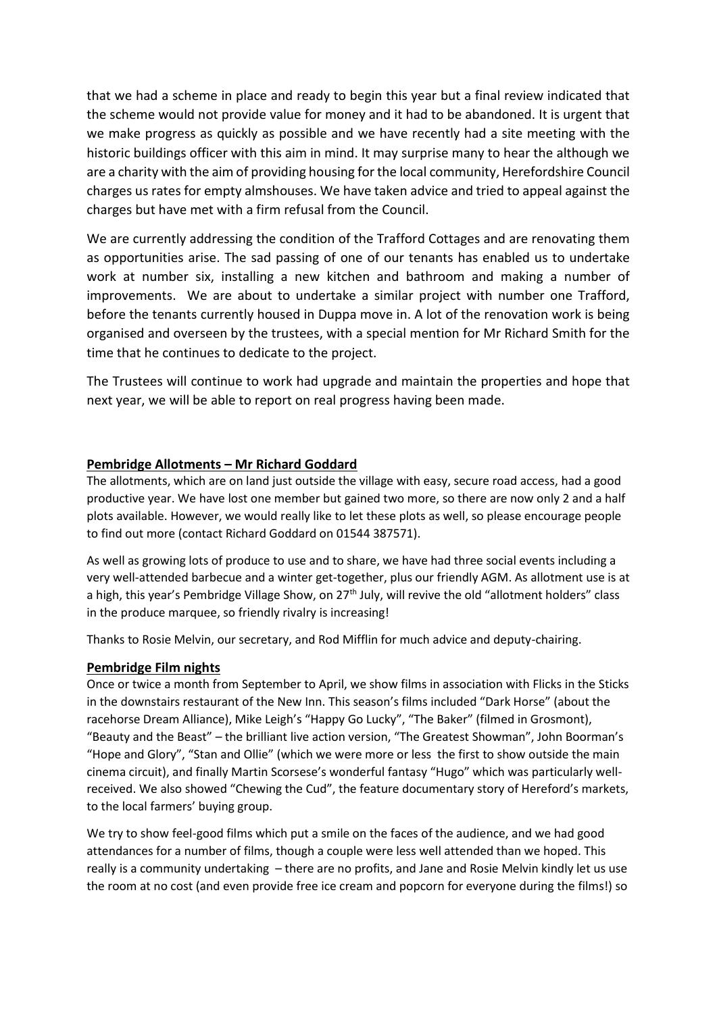that we had a scheme in place and ready to begin this year but a final review indicated that the scheme would not provide value for money and it had to be abandoned. It is urgent that we make progress as quickly as possible and we have recently had a site meeting with the historic buildings officer with this aim in mind. It may surprise many to hear the although we are a charity with the aim of providing housing for the local community, Herefordshire Council charges us rates for empty almshouses. We have taken advice and tried to appeal against the charges but have met with a firm refusal from the Council.

We are currently addressing the condition of the Trafford Cottages and are renovating them as opportunities arise. The sad passing of one of our tenants has enabled us to undertake work at number six, installing a new kitchen and bathroom and making a number of improvements. We are about to undertake a similar project with number one Trafford, before the tenants currently housed in Duppa move in. A lot of the renovation work is being organised and overseen by the trustees, with a special mention for Mr Richard Smith for the time that he continues to dedicate to the project.

The Trustees will continue to work had upgrade and maintain the properties and hope that next year, we will be able to report on real progress having been made.

### **Pembridge Allotments – Mr Richard Goddard**

The allotments, which are on land just outside the village with easy, secure road access, had a good productive year. We have lost one member but gained two more, so there are now only 2 and a half plots available. However, we would really like to let these plots as well, so please encourage people to find out more (contact Richard Goddard on 01544 387571).

As well as growing lots of produce to use and to share, we have had three social events including a very well-attended barbecue and a winter get-together, plus our friendly AGM. As allotment use is at a high, this year's Pembridge Village Show, on 27<sup>th</sup> July, will revive the old "allotment holders" class in the produce marquee, so friendly rivalry is increasing!

Thanks to Rosie Melvin, our secretary, and Rod Mifflin for much advice and deputy-chairing.

### **Pembridge Film nights**

Once or twice a month from September to April, we show films in association with Flicks in the Sticks in the downstairs restaurant of the New Inn. This season's films included "Dark Horse" (about the racehorse Dream Alliance), Mike Leigh's "Happy Go Lucky", "The Baker" (filmed in Grosmont), "Beauty and the Beast" – the brilliant live action version, "The Greatest Showman", John Boorman's "Hope and Glory", "Stan and Ollie" (which we were more or less the first to show outside the main cinema circuit), and finally Martin Scorsese's wonderful fantasy "Hugo" which was particularly wellreceived. We also showed "Chewing the Cud", the feature documentary story of Hereford's markets, to the local farmers' buying group.

We try to show feel-good films which put a smile on the faces of the audience, and we had good attendances for a number of films, though a couple were less well attended than we hoped. This really is a community undertaking – there are no profits, and Jane and Rosie Melvin kindly let us use the room at no cost (and even provide free ice cream and popcorn for everyone during the films!) so